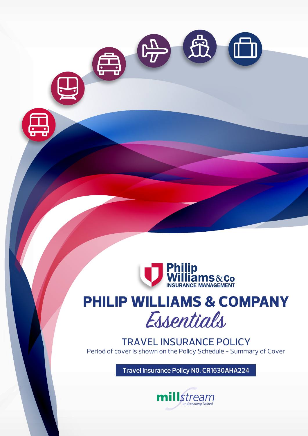

# **PHILIP WILLIAMS & COMPANY** Essentials

TRAVEL INSURANCE POLICY Period of cover is shown on the Policy Schedule - Summary of Cover

**Travel Insurance Policy N0. CR1630AHA224**

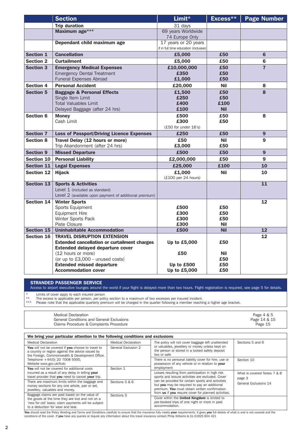|                   | <b>Section</b>                                                                            | Limit*                                | Excess**                 | <b>Page Number</b> |
|-------------------|-------------------------------------------------------------------------------------------|---------------------------------------|--------------------------|--------------------|
|                   | <b>Trip duration</b>                                                                      | 31 days                               |                          |                    |
|                   | Maximum age***                                                                            | 69 years Worldwide                    |                          |                    |
|                   |                                                                                           | 74 Europe Only                        |                          |                    |
|                   | Dependant child maximum age                                                               | 17 years or 20 years                  |                          |                    |
|                   |                                                                                           | if in full time education (inclusive) |                          |                    |
| <b>Section 1</b>  | <b>Cancellation</b>                                                                       | £5,000                                | £50                      | 6                  |
| <b>Section 2</b>  | <b>Curtailment</b>                                                                        | £5,000                                | £50                      | 6                  |
| <b>Section 3</b>  | <b>Emergency Medical Expenses</b>                                                         | £10,000,000                           | £50                      | $\overline{7}$     |
|                   | <b>Emergency Dental Treatment</b>                                                         | £350                                  | £50                      |                    |
|                   | Funeral Expenses Abroad                                                                   | £1,000                                | £50                      |                    |
| <b>Section 4</b>  | <b>Personal Accident</b>                                                                  | £20,000                               | <b>Nil</b>               | 8                  |
| <b>Section 5</b>  | <b>Baggage &amp; Personal Effects</b>                                                     | £1,500                                | £50                      | 8                  |
|                   | Single Item Limit<br><b>Total Valuables Limit</b>                                         | £250                                  | £50<br>£100              |                    |
|                   | Delayed Baggage (after 24 hrs)                                                            | £400<br>£100                          | <b>Nil</b>               |                    |
| <b>Section 6</b>  | <b>Money</b>                                                                              | £500                                  | £50                      | 8                  |
|                   | Cash Limit                                                                                | £300                                  | £50                      |                    |
|                   |                                                                                           | (£50 for under 16's)                  |                          |                    |
| <b>Section 7</b>  | <b>Loss of Passport/Driving Licence Expenses</b>                                          | £250                                  | £50                      | 9                  |
| <b>Section 8</b>  | Travel Delay (12 hours or more)                                                           | £50                                   | Nil                      | 9                  |
|                   | Trip Abandonment (after 24 hrs)                                                           | £3,000                                | £50                      |                    |
| <b>Section 9</b>  | <b>Missed Departure</b>                                                                   | £500                                  | £50                      | 9                  |
| <b>Section 10</b> | <b>Personal Liability</b>                                                                 | £2,000,000                            | £50                      | 9                  |
| <b>Section 11</b> | <b>Legal Expenses</b>                                                                     | £25,000                               | £100                     | 10                 |
| <b>Section 12</b> | <b>Hijack</b>                                                                             | £1,000<br>(£100 per 24 hours)         | <b>Nil</b>               | 10                 |
| <b>Section 13</b> | <b>Sports &amp; Activities</b>                                                            |                                       |                          | 11                 |
|                   | Level 1 (included as standard)                                                            |                                       |                          |                    |
|                   | Level 2 (available upon payment of additional premium)                                    |                                       |                          |                    |
| <b>Section 14</b> | <b>Winter Sports</b>                                                                      |                                       |                          | 12                 |
|                   | Sports Equipment                                                                          | £500                                  | £50                      |                    |
|                   | <b>Equipment Hire</b>                                                                     | £300                                  | £50                      |                    |
|                   | Winter Sports Pack                                                                        | £300                                  | £50                      |                    |
| <b>Section 15</b> | Piste Closure<br><b>Uninhabitable Accommodation</b>                                       | £300<br>£500                          | <b>Nil</b><br><b>Nil</b> | 12                 |
|                   |                                                                                           |                                       |                          |                    |
| <b>Section 16</b> | <b>TRAVEL DISRUPTION EXTENSION</b><br><b>Extended cancellation or curtailment charges</b> | Up to £5,000                          | £50                      | 12                 |
|                   | <b>Extended delayed departure cover</b>                                                   |                                       |                          |                    |
|                   | (12 hours or more)                                                                        | £50                                   | <b>Nil</b>               |                    |
|                   | (or up to £3,000 - unused costs)                                                          |                                       | £50                      |                    |
|                   | <b>Extended missed departure</b>                                                          | Up to £500                            | £50                      |                    |
|                   | <b>Accommodation cover</b>                                                                | Up to £5,000                          | £50                      |                    |

STRANDED PASSENGER SERVICE

Access to airport executive lounges around the world if your flight is delayed more than two hours. Flight registration is required, see page 5 for details.

\* Limits of cover apply to each insured person

\*\* The excess is applicable per person, per policy section to a maximum of two excesses per insured incident.

\*\*\* Please note that the applicable quarterly premium will be charged in the quarter following a member reaching a higher age bracket.

| Medical Declaration<br><b>General Conditions and General Exclusions</b><br>Claims Procedure & Complaints Procedure | Page 4 & 5<br>Page 14 & 15<br>Page 15 |
|--------------------------------------------------------------------------------------------------------------------|---------------------------------------|
|                                                                                                                    |                                       |

#### Medical Declaration You will not be covered if you choose to travel to a country or region against the advice issued by the Foreign, Commonwealth & Development Office. Telephone +44(0) 20 7008 5000, Website www.gov.uk/fcdo You will not be covered for additional costs incurred as a result of any delay in telling your travel provider that you need to cancel your trip. There are maximum limits within the baggage and money sections for any one article, pair or set, jewellery, valuables and money. Baggage claims are paid based on the value of the goods at the time they are lost and not on a 'new for old' basis; claim payments will be subject to a deduction for wear and tear. Medical Declaration General Exclusion 2 Section 1 Sections 5 & 6 Sections 5 The policy will not cover baggage left unattended or valuables, jewellery or money unless kept on the person or stored in a locked safety deposit box or safe There is no personal liability cover for hire, use or possession of any vehicle or in relation to your employment Losses resulting from participation in high risk sports and leisure activities are excluded. Cover can be provided for certain sports and activities but you may be required to pay an additional premium. You must obtain written confirmation<br>from us if you require cover for planned activities. Cover within the United Kingdom is limited to pre-booked trips of one night or more in paid accommodation. Sections 5 and 6 Section 10 What is covered Notes 7 & 8 page 3 General Exclusions 14 We bring your particular attention to the following conditions and exclusions

You should read the Policy Wording and Terms and Conditions carefully to ensure that the insurance fully meets your requirements. It gives you full details of what is and is not covered and the<br>conditions of the cover. If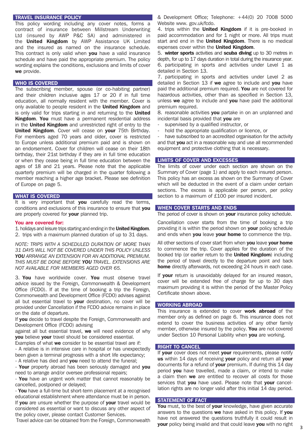#### TRAVEL INSURANCE POLICY

This policy wording including any cover notes, forms a contract of insurance between Millstream Underwriting Ltd (insured by AWP P&C SA) and administered in the **United Kingdom** by AWP Assistance UK Limited and the insured as named on the insurance schedule. This contract is only valid when you have a valid insurance schedule and have paid the appropriate premium. The policy wording explains the conditions, exclusions and limits of cover we provide.

# WHO IS COVERED

The subscribing member, spouse (or co-habiting partner) and their children inclusive ages 17 or 20 if in full time education, all normally resident with the member. Cover is only available to people resident in the United Kingdom and is only valid for trips starting in and returning to the United Kingdom. You must have a permanent residential address in the **United Kingdom** and unrestricted right of entry to the United Kingdom. Cover will cease on your 75th Birthday. For members aged 70 years and older, cover is restricted to Europe unless additional premium paid and is shown on an endorsement. Cover for children will cease on their 18th birthday, their 21st birthday if they are in full time education or when they cease being in full time education between the ages of 18 and 21 years. Please note that the applicable quarterly premium will be charged in the quarter following a member reaching a higher age bracket. Please see definition of Europe on page 5.

# WHAT IS COVERED

It is very important that you carefully read the terms, conditions and exclusions of this insurance to ensure that you are properly covered for your planned trip.

# You are covered for:

1. holidays and leisure trips starting and ending in the United Kingdom. 2. trips with a maximum planned duration of up to 31 days.

*NOTE: TRIPS WITH A SCHEDULED DURATION OF MORE THAN 31 DAYS WILL NOT BE COVERED UNDER THIS POLICY UNLESS YOU ARRANGE AN EXTENSION FOR AN ADDITIONAL PREMIUM. THIS MUST BE DONE BEFORE YOU TRAVEL. EXTENSIONS ARE NOT AVAILABLE FOR MEMBERS AGED OVER 65.*

3. You have worldwide cover. You must observe travel advice issued by the Foreign, Commonwealth & Development Office (FCDO). If at the time of booking a trip the Foreign, Commonwealth and Development Office (FCDO) advises against all but essential travel to your destination, no cover will be provided under Cancellation if the FCDO advice remains in place on the date of departure.

If you decide to travel despite the Foreign, Commonwealth and Development Office (FCDO) advising

against all but essential travel, we will need evidence of why you believe your travel should be considered essential.

Examples of what we consider to be essential travel are if:

- A relative is in intensive care in hospital or has unexpectedly been given a terminal prognosis with a short life expectancy;

- A relative has died and you need to attend the funeral;

- Your property abroad has been seriously damaged and you need to arrange and/or oversee professional repairs;

- You have an urgent work matter that cannot reasonably be cancelled, postponed or delayed;

- You have a full-time but short-term placement at a recognised educational establishment where attendance must be in person. If you are unsure whether the purpose of your travel would be considered as essential or want to discuss any other aspect of the policy cover, please contact Customer Services.

Travel advice can be obtained from the Foreign, Commonwealth

& Development Office; Telephone: +44(0) 20 7008 5000 Website www. gov.uk/fcdo.

4. trips within the **United Kingdom** if it is pre-booked in paid accommodation and for 1 night or more. All trips must start and end in the United Kingdom. There is no medical expenses cover within the United Kingdom.

5. winter sports activities and scuba diving up to 30 metres in depth, for up to 17 days duration in total during the insurance year. 6. participating in sports and activities under Level 1 as detailed in Section 13.

7. participating in sports and activities under Level 2 as detailed in Section 13 if we agree to include and you have paid the additional premium required. You are not covered for hazardous activities, other than as specified in Section 13, unless we agree to include and you have paid the additional premium required.

8. reasonable activities you partake in on an unplanned and incidental basis provided that you are

- supervised by a qualified instructor, or
- hold the appropriate qualification or licence, or

have subscribed to an accredited organisation for the activity and that **vou** act in a reasonable way and use all recommended equipment and protective clothing that is necessary.

# LIMITS OF COVER AND EXCESSES

The limits of cover under each section are shown on the Summary of Cover (page 1) and apply to each insured person. This policy has an excess as shown on the Summary of Cover which will be deducted in the event of a claim under certain sections. The excess is applicable per person, per policy section to a maximum of £100 per insured incident.

# WHEN COVER STARTS AND ENDS

The period of cover is shown on your insurance policy schedule.

Cancellation cover starts from the time of booking a trip providing it is within the period shown on your policy schedule and ends when you leave your home to commence the trip.

All other sections of cover start from when you leave your home to commence the trip. Cover applies for the duration of the booked trip (or earlier return to the United Kingdom) including the period of travel directly to the departure point and back home directly afterwards, not exceeding 24 hours in each case.

If your return is unavoidably delayed for an insured reason, cover will be extended free of charge for up to 30 days maximum providing it is within the period of the Master Policy Certificate shown above.

# WORKING ABROAD

This insurance is extended to cover **work abroad** of the member only as defined on page 6. This insurance does not extend to cover the business activities of any other family member, otherwise insured by the policy. You are not covered under Section 10 Personal Liability when you are working.

#### **RIGHT TO CANCEL**

If your cover does not meet your requirements, please notify us within 14 days of receiving your policy and return all your documents for a refund of your premium. If during this 14 day period **you** have travelled, made a claim, or intend to make a claim then we are entitled to recover all costs for those services that you have used. Please note that your cancellation rights are no longer valid after this initial 14 day period.

#### STATEMENT OF FACT

You must, to the best of your knowledge, have given accurate answers to the questions we have asked in this policy. If you have not answered the questions truthfully it could result in your policy being invalid and that could leave you with no right **3**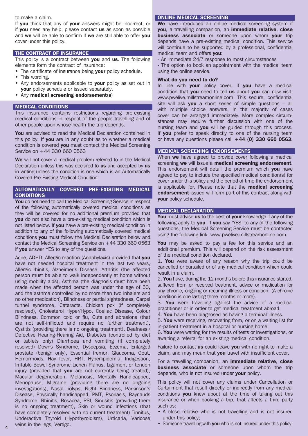to make a claim.

If you think that any of your answers might be incorrect, or if you need any help, please contact us as soon as possible and we will be able to confirm if we are still able to offer you cover under this policy.

# THE CONTRACT OF INSURANCE

This policy is a contract between you and us. The following elements form the contract of insurance:

- The certificate of insurance being **your** policy schedule.
- This wording.
- Any endorsements applicable to your policy as set out in your policy schedule or issued separately.
- Any medical screening endorsement(s)

# MEDICAL CONDITIONS

This insurance contains restrictions regarding pre-existing medical conditions in respect of the people travelling and of other people upon whose health the trip depends.

You are advised to read the Medical Declaration contained in this policy. If **vou** are in any doubt as to whether a medical condition is covered **vou** must contact the Medical Screening Service on +44 330 660 0563

We will not cover a medical problem referred to in the Medical Declaration unless this was declared to us and accepted by us in writing unless the condition is one which is an Automatically Covered Pre-Existing Medical Condition:

# AUTOMATICALLY COVERED PRE-EXISTING MEDICAL **CONDITIONS**

You do not need to call the Medical Screening Service in respect of the following automatically covered medical conditions as they will be covered for no additional premium provided that you do not also have a pre-existing medical condition which is not listed below. If **you** have a pre-existing medical condition in addition to any of the following automatically covered medical conditions you must follow the Medical Declaration below and contact the Medical Screening Service on +44 330 660 0563 if you answer YES to any of the questions.

Acne, ADHD, Allergic reaction (Anaphylaxis) provided that you have not needed hospital treatment in the last two years, Allergic rhinitis, Alzheimer's Disease, Arthritis (the affected person must be able to walk independently at home without using mobility aids), Asthma (the diagnosis must have been made when the affected person was under the age of 50, and the asthma controlled by no more than two inhalers and no other medication), Blindness or partial sightedness, Carpel tunnel syndrome, Cataracts, Chicken pox (if completely resolved), Cholesterol Hyper/Hypo, Coeliac Disease, Colour Blindness, Common cold or flu, Cuts and abrasions (that are not self-inflicted and require no further treatment), Cystitis (providing there is no ongoing treatment), Deafness,/ Defective Hearing-Hearing Aid, Diabetes (controlled by diet or tablets only) Diarrhoea and vomiting (if completely resolved) Downs Syndrome, Dyspepsia, Eczema, Enlarged prostate (benign only), Essential tremor, Glaucoma, Gout, Hemorrhoids, Hay fever, HRT, Hyperlipidemia, Indigestion, Irritable Bowel Syndrome Lichen Planus, Ligament or tendon injury (provided that you are not currently being treated), Macular degeneration, Melanosis, Mentally Handicapped, Menopause, Migraine (providing there are no ongoing investigations), Nasal polyps, Night Blindness, Parkinson's Disease, Physically handicapped, PMT, Psoriasis, Raynauds Syndrome, Rhinitis, Rosacea, RSI, Sinusitis (providing there is no ongoing treatment), Skin or wound infections (that have completely resolved with no current treatment) Tinnitus, Underactive Thyroid (Hypothyroidism), Urticaria, Varicose veins in the legs, Vertigo.

# ONLINE MEDICAL SCREENING

We have introduced an online medical screening system if you, a travelling companion, an immediate relative, close business associate or someone upon whom your trip depends have a pre-existing medical condition. This service will continue to be supported by a professional, confidential medical team and offers you:

- An immediate 24/7 response to most circumstances

- The option to book an appointment with the medical team using the online service.

#### What do you need to do?

In line with your policy cover, if you have a medical condition that you need to tell us about you can now visit, www.pwelive.millstreamonline.com. This secure, confidential site will ask **you** a short series of simple questions  $-$  all with multiple choice answers. In the majority of cases cover can be arranged immediately. More complex circumstances may require further discussion with one of the nursing team and you will be guided through this process. If you prefer to speak directly to one of the nursing team or have any questions please call  $+44$  (0) 330 660 0563.

# MEDICAL SCREENING ENDORSEMENTS

When we have agreed to provide cover following a medical screening we will issue a medical screening endorsement. This endorsement will detail the premium which you have agreed to pay to include the specified medical condition(s) for cover under this policy and the period of time the endorsement is applicable for. Please note that the **medical screening** endorsement issued will form part of this contract along with your policy schedule.

#### MEDICAL DECLARATION

You must advise us to the best of your knowledge if any of the following apply to you. If you say 'YES' to any of the following questions, the Medical Screening Service must be contacted using the following link, www.pwelive.millstreamonline.com.

You may be asked to pay a fee for this service and an additional premium. This will depend on the risk assessment of the medical condition declared.

1. You were aware of any reason why the trip could be cancelled or curtailed or of any medical condition which could result in a claim.

2. You have, during the 12 months before this insurance started, suffered from or received treatment, advice or medication for any chronic, ongoing or recurring illness or condition. (A chronic condition is one lasting three months or more).

3. You were travelling against the advice of a medical practitioner or in order to get medical treatment abroad.

4. You have been diagnosed as having a terminal illness.

5. You were receiving, recovering from, or on a waiting list for in-patient treatment in a hospital or nursing home.

6. You were waiting for the results of tests or investigations, or awaiting a referral for an existing medical condition.

Failure to contact us could leave you with no right to make a claim, and may mean that you travel with insufficient cover.

For a travelling companion, an *immediate relative*, close **business associate** or someone upon whom the trip depends, who is not insured under **vour** policy.

This policy will not cover any claims under Cancellation or Curtailment that result directly or indirectly from any medical conditions **you** knew about at the time of taking out this insurance or when booking a trip, that affects a third party such as:

- A close relative who is not travelling and is not insured under this policy;
- veins in the legs, Vertigo. **All and the set of the set of the set of the Someone travelling with you** who is not insured under this policy;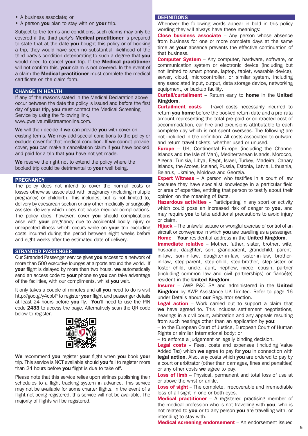- A business associate; or
- A person you plan to stay with on your trip.

Subject to the terms and conditions, such claims may only be covered if the third party's Medical practitioner is prepared to state that at the date vou bought this policy or of booking a trip, they would have seen no substantial likelihood of the third party's condition deteriorating to such a degree that you would need to cancel your trip. If the Medical practitioner will not confirm this, your claim is not covered. In the event of a claim the **Medical practitioner** must complete the medical certificate on the claim form.

# CHANGE IN HEALTH

If any of the reasons stated in the Medical Declaration above occur between the date the policy is issued and before the first day of your trip, you must contact the Medical Screening Service by using the following link, www.pwelive.millstreamonline.com.

We will then decide if we can provide you with cover on existing terms. We may add special conditions to the policy or exclude cover for that medical condition. If we cannot provide cover, you can make a cancellation claim if you have booked and paid for a trip that you have not yet made.

We reserve the right not to extend the policy where the booked trip could be detrimental to your well being.

# **PREGNANCY**

The policy does not intend to cover the normal costs or losses otherwise associated with pregnancy (including multiple pregnancy) or childbirth. This includes, but is not limited to, delivery by caesarean section or any other medically or surgically assisted delivery which does not cause medical complications. The policy does, however, cover you should complications arise with your pregnancy due to accidental bodily injury or unexpected illness which occurs while on your trip excluding costs incurred during the period between eight weeks before and eight weeks after the estimated date of delivery.

# STRANDED PASSENGER

Our Stranded Passenger service gives you access to a network of more than 500 executive lounges at airports around the world. If your flight is delayed by more than two hours, we automatically send an access code to your phone so you can take advantage of the facilities, with our compliments, whilst you wait.

It only takes a couple of minutes and all you need to do is visit http://goo.gl/y4cpbP to register your flight and passenger details at least 24 hours before you fly. You'll need to use the PIN code 2433 to access the page. Alternatively scan the QR code below to register.



We recommend you register your flight when you book your trip. This service is NOT available should you fail to register more than 24 hours before you flight is due to take off.

Please note that this service relies upon airlines publishing their schedules to a flight tracking system in advance. This service may not be available for some charter flights. In the event of a flight not being registered, this service will not be available. The majority of flights will be registered.

# **DEFINITIONS**

Whenever the following words appear in bold in this policy wording they will always have these meanings:

Close business associate – Any person whose absence from business for one or more complete days at the same time as your absence prevents the effective continuation of that business.

**Computer System** – Any computer, hardware, software, or communication system or electronic device (including but not limited to smart phone, laptop, tablet, wearable device), server, cloud, microcontroller, or similar system, including any associated input, output, data storage device, networking equipment, or backup facility.

**Curtail/curtailment** – Return early to home in the United Kingdom.

**Curtailment costs** – Travel costs necessarily incurred to return you home before the booked return date and a pro-rata amount representing the total pre-paid or contracted cost of accommodation, car hire and excursions attributable to each complete day which is not spent overseas. The following are not included in the definition: All costs associated to outward and return travel tickets, whether used or unused.

**Europe** – UK, Continental Europe (including the Channel Islands and the Isle of Man), Mediterranean Islands, Morocco, Algeria, Tunisia, Libya, Egypt, Israel, Turkey, Madeira, Canary Islands, the Azores, Iceland, Russia, Estonia, Latvia, Lithuania, Belarus, Ukraine, Moldova and Georgia.

**Expert Witness**  $-$  A person who testifies in a court of law because they have specialist knowledge in a particular field or area of expertise, entitling that person to testify about their opinion on the meaning of facts.

**Hazardous activities** – Participating in any sport or activity which could pose an increased risk of danger to you, and may require you to take additional precautions to avoid injury or claim.

**Hijack** – The unlawful seizure or wrongful exercise of control of an aircraft or conveyance in which you are travelling as a passenger. Home – Your residential address in the United Kingdom.

**Immediate relative** – Mother, father, sister, brother, wife, husband, daughter, son, grandparent, grandchild, parentin-law, son-in-law, daughter-in-law, sister-in-law, brotherin-law, step-parent, step-child, step-brother, step-sister or foster child, uncle, aunt, nephew, niece, cousin, partner (including common law and civil partnerships) or fiancé(e) resident in the United Kingdom.

Insurer – AWP P&C SA and administered in the United Kingdom by AWP Assistance UK Limited. Refer to page 16 under Details about our Regulator section.

**Legal action** – Work carried out to support a claim that we have agreed to. This includes settlement negotiations. hearings in a civil court, arbitration and any appeals resulting from such hearings other than an application by you:

– to the European Court of Justice, European Court of Human Rights or similar International body; or

– to enforce a judgement or legally binding decision.

**Legal costs** – Fees, costs and expenses (including Value Added Tax) which we agree to pay for you in connection with legal action. Also, any costs which you are ordered to pay by a court or arbitrator (other than damages, fines and penalties) or any other costs we agree to pay.

Loss of limb - Physical, permanent and total loss of use at or above the wrist or ankle.

Loss of sight - The complete, irrecoverable and irremediable loss of all sight in one or both eyes.

**Medical practitioner**  $-$  A registered practising member of the medical profession who is not travelling with you, who is not related to you or to any person you are travelling with, or intending to stay with.

Medical screening endorsement – An endorsement issued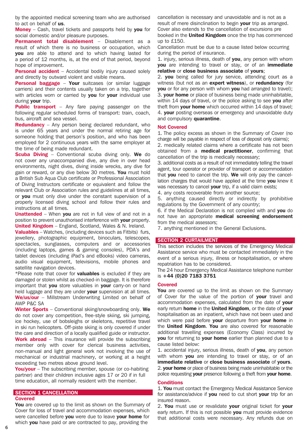by the appointed medical screening team who are authorised to act on behalf of us.

**Money** – Cash, travel tickets and passports held by you for social domestic and/or pleasure purposes.

Permanent total disablement - Disablement as a result of which there is no business or occupation, which you are able to attend and to which having lasted for a period of 12 months, is, at the end of that period, beyond hope of improvement.

**Personal accident** – Accidental bodily injury caused solely and directly by outward violent and visible means.

Personal baggage – Your suitcases (or similar luggage carriers) and their contents usually taken on a trip, together with articles worn or carried by you for your individual use during your trip.

**Public transport** – Any fare paying passenger on the following regular scheduled forms of transport: train, coach, bus, aircraft and sea vessel.

**Redundancy** – Any person being declared redundant, who is under 65 years and under the normal retiring age for someone holding that person's position, and who has been employed for 2 continuous years with the same employer at the time of being made redundant.

**Scuba Diving** – Conventional scuba diving only. We do not cover any unaccompanied dive, any dive in over head environments, night dives, diving inside wrecks, any dive for gain or reward, or any dive below 30 metres. You must hold a British Sub Aqua Club certificate or Professional Association of Diving Instructors certificate or equivalent and follow the relevant Club or Association rules and guidelines at all times, or you must only dive under the constant supervision of a properly licensed diving school and follow their rules and instructions at all times.

Unattended - When you are not in full view of and not in a position to prevent unauthorised interference with your property. United Kingdom - England, Scotland, Wales & N. Ireland.

**Valuables** – Watches, (including devices such as Fitbits) furs, jewellery, photographic equipment, binoculars, telescopes, spectacles, sunglasses, computers and or accessories (including laptops, games & gaming consoles), PDA's and tablet devices (including iPad's and eBooks) video cameras, audio visual equipment, televisions, mobile phones and satellite navigation devices.

\*Please note that cover for **valuables** is excluded if they are damaged or stolen whilst as checked-in baggage. It is therefore important that you store valuables in your carry-on or hand held luggage and they are under your supervision at all times. We/us/our – Millstream Underwriting Limited on behalf of AWP P&C SA

Winter Sports – Conventional skiing/snowboarding only. We do not cover any competition, free-style skiing, ski jumping, ice hockey, use of bobsleighs or skeletons, repetitive travel in ski run helicopters. Off-piste skiing is only covered if under the care and direction of a locally qualified guide or instructor. Work abroad – This insurance will provide the subscribing member only with cover for clerical business activities, non-manual and light general work not involving the use of mechanical or industrial machinery, or working at a height exceeding two metres above ground level.

You/your – The subscribing member, spouse (or co-habiting partner) and their children inclusive ages 17 or 20 if in full time education, all normally resident with the member.

# SECTION 1 CANCELLATION

# Covered

You are covered up to the limit as shown on the Summary of Cover for loss of travel and accommodation expenses, which were cancelled before you were due to leave your home for which you have paid or are contracted to pay, providing the

cancellation is necessary and unavoidable and is not as a result of mere disinclination to begin your trip as arranged. Cover also extends to the cancellation of excursions pre booked in the United Kingdom once the trip has commenced up to £150.

Cancellation must be due to a cause listed below occurring during the period of insurance.

1. injury, serious illness, death of you, any person with whom you are intending to travel or stay, or of an immediate relative or close business associate of yours;

2. you being called for jury service, attending court as a witness (but not as an **expert witness**), or **redundancy** (for **vou** or for any person with whom **you** had arranged to travel); 3. your home or place of business being made uninhabitable, within 14 days of travel, or the police asking to see you after theft from your home which occurred within 14 days of travel; 4. **your** posting overseas or emergency and unavoidable duty and compulsory quarantine.

#### Not Covered

1. The policy excess as shown in the Summary of Cover (no charge will be payable in respect of loss of deposit only claims);

2. medically related claims where a certificate has not been obtained from a **medical practitioner**, confirming that cancellation of the trip is medically necessary;

3. additional costs as a result of not immediately telling the travel agent, tour operator or provider of transport or accommodation that you need to cancel the trip. We will only pay the cancellation charges that would have applied at the time you knew it was necessary to cancel your trip, if a valid claim exists;

4. any costs recoverable from another source;

5. anything caused directly or indirectly by prohibitive regulations by the Government of any country;

6. if the Medical Declaration is not complied with and you do not have an appropriate medical screening endorsement from the medical assessors;

7. anything mentioned in the General Exclusions.

# SECTION 2 CURTAILMENT

This section includes the services of the Emergency Medical Assistance service who must be contacted immediately in the event of a serious injury, illness or hospitalisation, or where repatriation has to be considered.

The 24 hour Emergency Medical Assistance telephone number is +44 (0)20 7183 3751

#### Covered

You are covered up to the limit as shown on the Summary of Cover for the value of the portion of your travel and accommodation expenses, calculated from the date of your early return home in the United Kingdom, or the date of your hospitalisation as an inpatient, which have not been used and which were paid before your departure from your home in the **United Kingdom. You** are also covered for reasonable additional travelling expenses (Economy Class) incurred by you for returning to your home earlier than planned due to a cause listed below:

1. accidental injury, serious illness, death of vou, any person with whom you are intending to travel or stay, or of an immediate relative or close business associate of yours. 2. your home or place of business being made uninhabitable or the police requesting your presence following a theft from your home.

#### **Conditions**

1. You must contact the Emergency Medical Assistance Service for assistance/advice if you need to cut short your trip for an insured reason.

2. You must use or revalidate your original ticket for your early return. If this is not possible you must provide evidence that additional costs were necessary. Any refunds due on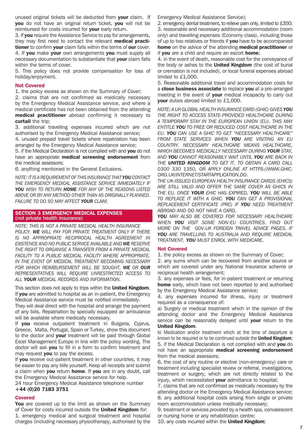unused original tickets will be deducted from **vour** claim. If you do not have an original return ticket, you will not be reimbursed for costs incurred for **your** early return.

3. If you require the Assistance Service to pay for arrangements, they may first need to contact the relevant medical practitioner to confirm your claim falls within the terms of our cover. 4. If you make your own arrangements you must supply all necessary documentation to substantiate that your claim falls within the terms of cover.

5. This policy does not provide compensation for loss of holiday/enjoyment.

# Not Covered

1. the policy excess as shown on the Summary of Cover;

2. claims that are not confirmed as medically necessary by the Emergency Medical Assistance service, and where a medical certificate has not been obtained from the attending medical practitioner abroad confirming it necessary to curtail the trip;

3. additional travelling expenses incurred which are not authorised by the Emergency Medical Assistance service;

4. unused prepaid travel tickets where repatriation has been arranged by the Emergency Medical Assistance service;

5. if the Medical Declaration is not complied with and you do not have an appropriate medical screening endorsement from the medical assessors;

6. anything mentioned in the General Exclusions.

*NOTE: IT IS A REQUIREMENT OF THIS INSURANCE THAT YOU CONTACT THE EMERGENCY MEDICAL ASSISTANCE SERVICE IMMEDIATELY IF YOU WISH TO RETURN HOME FOR ANY OF THE REASONS LISTED ABOVE OR BY ANY METHOD OTHER THAN AS ORIGINALLY PLANNED. FAILURE TO DO SO MAY AFFECT YOUR CLAIM.*

# SECTION 3 EMERGENCY MEDICAL EXPENSES (not private health insurance)

*NOTE: THIS IS NOT A PRIVATE MEDICAL HEALTH INSURANCE POLICY. WE WILL PAY FOR PRIVATE TREATMENT ONLY IF THERE IS NO APPROPRIATE RECIPROCAL HEALTH AGREEMENT IN EXISTENCE AND NO PUBLIC SERVICE AVAILABLE AND WE RESERVE THE RIGHT TO ORGANISE A TRANSFER FROM A PRIVATE MEDICAL*  **FACILITY TO A PUBLIC MEDICAL FACILITY WHERE APPROPRIATE.** *IN THE EVENT OF MEDICAL TREATMENT BECOMING NECESSARY FOR WHICH REIMBURSEMENT WILL BE SOUGHT, WE OR OUR REPRESENTATIVES WILL REQUIRE UNRESTRICTED ACCESS TO ALL YOUR MEDICAL RECORDS AND INFORMATION.*

This section does not apply to trips within the United Kingdom. If you are admitted to hospital as an in-patient, the Emergency Medical Assistance service must be notified immediately.

They will deal direct with the hospital and arrange the payment of any bills. Repatriation by specially equipped air ambulance will be available where medically necessary.

If you receive outpatient treatment in Bulgaria, Cyprus, Greece, Malta, Portugal, Spain or Turkey, show this document to the doctor and **your** treatment will be paid through Global Excel Management Europe in line with the policy wording. The doctor will ask you to fill in a form to confirm treatment and may request you to pay the excess.

If you receive out-patient treatment in other countries, it may be easier to pay any bills yourself. Keep all receipts and submit a claim when **you** return **home**. If you are in any doubt, call the Emergency Medical Assistance service for help.

24 hour Emergency Medical Assistance telephone number +44 (0)20 7183 3751

# Covered

You are covered up to the limit as shown on the Summary of Cover for costs incurred outside the United Kingdom for: 1. emergency medical and surgical treatment and hospital charges (including necessary physiotherapy, authorised by the

Emergency Medical Assistance Service);

2. emergency dental treatment, to relieve pain only, limited to £350; 3. reasonable and necessary additional accommodation (room only) and travelling expenses (Economy class), including those of up to two relatives or friends if you have to be accompanied home on the advice of the attending medical practitioner or if you are a child and require an escort home;

4. in the event of death, reasonable cost for the conveyance of the body or ashes to the United Kingdom (the cost of burial or cremation is not included), or local funeral expenses abroad limited to £1,000.

5. Reasonable additional travel and accommodation costs for a close business associate to replace you at a pre-arranged meeting in the event of your medical incapacity to carry out your duties abroad limited to £1,000.

*NOTE: A UK GLOBAL HEALTH INSURANCE CARD (GHIC) GIVES YOU THE RIGHT TO ACCESS STATE-PROVIDED HEALTHCARE DURING A TEMPORARY STAY IN THE EUROPEAN UNION (EU). THIS MAY ENTITLE YOU TO FREE OR REDUCED COST HEALTHCARE IN THE EU. YOU CAN USE A GHIC TO GET "NECESSARY HEALTHCARE" FROM STATE SERVICES WHEN YOU ARE VISITING AN EU COUNTRY. NECESSARY HEALTHCARE MEANS HEALTHCARE, WHICH BECOMES MEDICALLY NECESSARY DURING YOUR STAY, AND YOU CANNOT REASONABLY WAIT UNTIL YOU ARE BACK IN THE UNITED KINGDOM TO GET IT. TO OBTAIN A CARD CALL 0300 330 1350, OR APPLY ONLINE AT HTTPS://WWW.GHIC. ORG.UK/INTERNET/STARTAPPLICATION.DO.* 

*THE UK-ISSUED EUROPEAN HEALTH INSURANCE CARDS (EHICS) ARE STILL VALID AND OFFER THE SAME COVER AS GHICS IN THE EU. ONCE YOUR EHIC HAS EXPIRED, YOU WILL BE ABLE TO REPLACE IT WITH A GHIC. YOU CAN GET A PROVISIONAL REPLACEMENT CERTIFICATE (PRC) IF YOU NEED TREATMENT ABROAD AND DO NOT HAVE A CARD.*

*YOU MAY ALSO BE COVERED FOR NECESSARY HEALTHCARE WHEN YOU VISIT SOME NON-EU COUNTRIES. FIND OUT MORE ON THE GOV.UK FOREIGN TRAVEL ADVICE PAGES. IF YOU ARE TRAVELLING TO AUSTRALIA AND REQUIRE MEDICAL TREATMENT, YOU MUST ENROL WITH MEDICARE.*

# Not Covered

1. the policy excess as shown on the Summary of Cover;

2. any sums which can be recovered from another source or which are covered under any National Insurance scheme or reciprocal health arrangement;

3. any expenses or fees, for in-patient treatment or returning home early, which have not been reported to and authorised by the Emergency Medical Assistance service;

4. any expenses incurred for illness, injury or treatment required as a consequence of:

a) Surgery or medical treatment which in the opinion of the attending doctor and the Emergency Medical Assistance service can be reasonably delayed until your return to the United Kingdom.

b) Medication and/or treatment which at the time of departure is known to be required or to be continued outside the United Kingdom; 5. if the Medical Declaration is not complied with and you do not have an appropriate medical screening endorsement from the medical assessors;

6. the cost of any routine or elective (non-emergency) care or treatment including specialist review or referral, investigations, treatment or surgery, which are not directly related to the injury, which necessitated your admittance to hospital;

7. claims that are not confirmed as medically necessary by the attending doctor or the Emergency Medical Assistance service; 8. any additional hospital costs arising from single or private room accommodation unless medically necessary;

9. treatment or services provided by a health spa, convalescent or nursing home or any rehabilitation centre;

10. any costs incurred within the United Kingdom;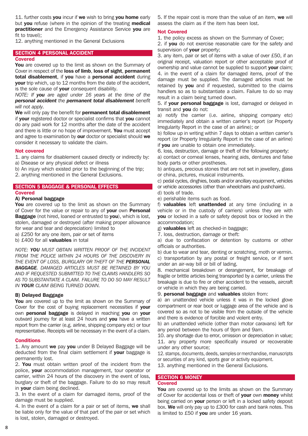11. further costs **you** incur if we wish to bring **you home** early but you refuse (where in the opinion of the treating medical practitioner and the Emergency Assistance Service you are fit to travel):

12. anything mentioned in the General Exclusions

# SECTION 4 PERSONAL ACCIDENT

#### Covered

You are covered up to the limit as shown on the Summary of Cover in respect of the loss of limb, loss of sight, permanent total disablement, if you have a personal accident during your trip which, up to 12 months from the date of the accident, is the sole cause of **vour** consequent disability.

*NOTE: If you are aged under 16 years at the time of the personal accident the permanent total disablement benefit will not apply.*

We will only pay the benefit for **permanent total disablement** if your registered doctor or specialist confirms that you cannot do any paid work for 12 months after the date of the accident and there is little or no hope of improvement. You must accept and agree to examination by our doctor or specialist should we consider it necessary to validate the claim.

# Not covered

1. any claims for disablement caused directly or indirectly by: a) Disease or any physical defect or illness

- b) An injury which existed prior to the beginning of the trip;
- 2. anything mentioned in the General Exclusions.

# SECTION 5 BAGGAGE & PERSONAL EFFECTS

#### Covered

#### A) Personal baggage

You are covered up to the limit as shown on the Summary of Cover for the value or repair to any of your own Personal **Baggage** (not hired, loaned or entrusted to you), which is lost, stolen, damaged or destroyed (after making proper allowance for wear and tear and depreciation) limited to a) £250 for any one item, pair or set of items

b) £400 for all **valuables** in total

*NOTE: YOU MUST OBTAIN WRITTEN PROOF OF THE INCIDENT FROM THE POLICE WITHIN 24 HOURS OF THE DISCOVERY IN THE EVENT OF LOSS, BURGLARY OR THEFT OF THE PERSONAL BAGGAGE. DAMAGED ARTICLES MUST BE RETAINED BY YOU AND IF REQUESTED SUBMITTED TO THE CLAIMS HANDLERS SO AS TO SUBSTANTIATE A CLAIM. FAILURE TO DO SO MAY RESULT IN YOUR CLAIM BEING TURNED DOWN.*

# B) Delayed Baggage

You are covered up to the limit as shown on the Summary of Cover for the cost of buying replacement necessities if your own personal baggage is delayed in reaching you on your outward journey for at least 24 hours and you have a written report from the carrier (e.g. airline, shipping company etc) or tour representative. Receipts will be necessary in the event of a claim.

#### **Conditions**

1. Any amount we pay you under B Delayed Baggage will be deducted from the final claim settlement if your baggage is permanently lost.

2. You must obtain written proof of the incident from the police, your accommodation management, tour operator or carrier, within 24 hours of the discovery in the event of loss, burglary or theft of the baggage. Failure to do so may result in your claim being declined.

3. In the event of a claim for damaged items, proof of the damage must be supplied.

4. In the event of a claim for a pair or set of items, we shall be liable only for the value of that part of the pair or set which is lost, stolen, damaged or destroyed.

5. If the repair cost is more than the value of an item, we will assess the claim as if the item has been lost.

# Not Covered

1. the policy excess as shown on the Summary of Cover;

2. if you do not exercise reasonable care for the safety and supervision of your property;

3. any item, pair or set of items with a value of over £50, if an original receipt, valuation report or other acceptable proof of ownership and value cannot be supplied to support your claim; 4. in the event of a claim for damaged items, proof of the damage must be supplied. The damaged articles must be retained by **you** and if requested, submitted to the claims handlers so as to substantiate a claim. Failure to do so may result in a claim being turned down.

5. if your personal baggage is lost, damaged or delayed in transit and you do not:

a) notify the carrier (i.e. airline, shipping company etc) immediately and obtain a written carrier's report (or Property Irregularity Report in the case of an airline); or

b) follow up in writing within 7 days to obtain a written carrier's report (or Property Irregularity Report in the case of an airline) if you are unable to obtain one immediately.

6. loss, destruction, damage or theft of the following property:

a) contact or corneal lenses, hearing aids, dentures and false body parts or other prostheses.

b) antiques, precious stones that are not set in jewellery, glass or china, pictures, musical instruments.

c) pedal cycles, dinghies, boats and/or ancillary equipment, vehicles

or vehicle accessories (other than wheelchairs and pushchairs).

d) tools of trade.

e) perishable items such as food.

f) valuables left unattended at any time (including in a vehicle or in the custody of carriers) unless they are with you or locked in a safe or safety deposit box or locked in the accommodation;

g) **valuables** left as checked-in baggage;

7. loss, destruction, damage or theft:

a) due to confiscation or detention by customs or other officials or authorities.

b) due to wear and tear, denting or scratching, moth or vermin. c) transportation by any postal or freight service, or if sent under an air-way bill or bill of lading.

8. mechanical breakdown or derangement, for breakage of fragile or brittle articles being transported by a carrier, unless the breakage is due to fire or other accident to the vessels, aircraft or vehicle in which they are being carried.

9. personal baggage and valuables stolen from:

a) an unattended vehicle unless it was in the locked glove compartment or rear boot or luggage area of the vehicle and is covered so as not to be visible from the outside of the vehicle and there is evidence of forcible and violent entry.

b) an unattended vehicle (other than motor caravans) left for any period between the hours of 9pm and 9am.

10. any shortage due to error, omission or depreciation in value; 11. any property more specifically insured or recoverable under any other source;

12. stamps, documents, deeds, samples or merchandise, manuscripts or securities of any kind, sports gear or activity equipment.

13. anything mentioned in the General Exclusions.

# SECTION 6 MONEY Covered

You are covered up to the limits as shown on the Summary of Cover for accidental loss or theft of **vour** own **money** whilst being carried on your person or left in a locked safety deposit box. We will only pay up to £300 for cash and bank notes. This is limited to £50 if you are under 16 years.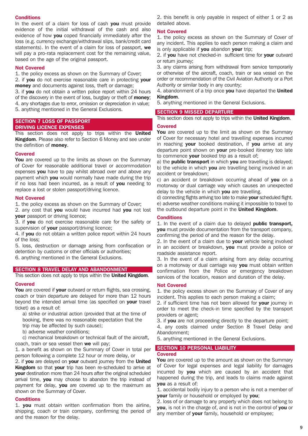# **Conditions**

In the event of a claim for loss of cash you must provide evidence of the initial withdrawal of the cash and also evidence of how you coped financially immediately after the loss (e.g. currency exchange/withdrawal slips, bank/credit card statements). In the event of a claim for loss of passport, we will pay a pro-rata replacement cost for the remaining value, based on the age of the original passport.

#### Not Covered

1. the policy excess as shown on the Summary of Cover;

2. if you do not exercise reasonable care in protecting your money and documents against loss, theft or damage:

3. if you do not obtain a written police report within 24 hours of the discovery in the event of loss, burglary or theft of **money**; 4. any shortages due to error, omission or depreciation in value; 5. anything mentioned in the General Exclusions.

# SECTION 7 LOSS OF PASSPORT

# DRIVING LICENCE EXPENSES

This section does not apply to trips within the **United** Kingdom. Please also refer to Section 6 Money and see under the definition of **money**.

#### Covered

You are covered up to the limits as shown on the Summary of Cover for reasonable additional travel or accommodation expenses you have to pay whilst abroad over and above any payment which you would normally have made during the trip if no loss had been incurred, as a result of you needing to replace a lost or stolen passport/driving licence.

#### Not Covered

1. the policy excess as shown on the Summary of Cover;

2. any cost that you would have incurred had you not lost your passport or driving licence;

3. if you do not exercise reasonable care for the safety or supervision of your passport/driving licence;

4. if you do not obtain a written police report within 24 hours of the loss;

5. loss, destruction or damage arising from confiscation or detention by customs or other officials or authorities;

6. anything mentioned in the General Exclusions.

# SECTION 8 TRAVEL DELAY AND ABANDONMENT

This section does not apply to trips within the **United Kingdom.** 

#### Covered

You are covered if your outward or return flights, sea crossing, coach or train departure are delayed for more than 12 hours beyond the intended arrival time (as specified on your travel ticket) as a result of:

a) strike or industrial action (provided that at the time of booking, there was no reasonable expectation that the

- trip may be affected by such cause);
- b) adverse weather conditions;

c) mechanical breakdown or technical fault of the aircraft, coach, train or sea vessel then we will pay;

1. a benefit as shown on the Summary of Cover in total per person following a complete 12 hour or more delay, or

2. if you are delayed on your outward journey from the United Kingdom so that your trip has been re-scheduled to arrive at your destination more than 24 hours after the original scheduled arrival time, you may choose to abandon the trip instead of payment for delay, you are covered up to the maximum as shown on the Summary of Cover.

#### **Conditions**

1. you must obtain written confirmation from the airline, shipping, coach or train company, confirming the period of and the reason for the delay.

2. this benefit is only payable in respect of either 1 or 2 as detailed above.

#### Not Covered

1. the policy excess as shown on the Summary of Cover of any incident. This applies to each person making a claim and is only applicable if you abandon your trip;

2. if you have not checked-in sufficient time for your outward or return journey;

3. any claims arising from withdrawal from service temporarily or otherwise of the aircraft, coach, train or sea vessel on the order or recommendation of the Civil Aviation Authority or a Port Authority or similar body in any country;

4. abandonment of a trip once you have departed the United Kingdom.

5. anything mentioned in the General Exclusions.

#### SECTION 9 MISSED DEPARTURE

This section does not apply to trips within the United Kingdom.

#### **Covered**

You are covered up to the limit as shown on the Summary of Cover for necessary hotel and travelling expenses incurred in reaching your booked destination, if you arrive at any departure point shown on your pre-booked itinerary too late to commence your booked trip as a result of;

a) the **public transport** in which you are travelling is delayed; b) the vehicle in which you are travelling being involved in an accident or breakdown;

c) an accident or breakdown occurring ahead of you on a motorway or dual carriage way which causes an unexpected delay to the vehicle in which you are travelling.

d) connecting flights arriving too late to make **vour** scheduled flight. e) adverse weather conditions making it impossible to travel to the outbound departure point in the United Kingdom.

# **Conditions**

1. In the event of a claim due to delayed **public transport**, you must provide documentation from the transport company, confirming the period of and the reason for the delay.

2. In the event of a claim due to **your** vehicle being involved in an accident or breakdown, you must provide a police or roadside assistance report.

3. In the event of a claim arising from any delay occurring on a motorway or dual carriage way you must obtain written confirmation from the Police or emergency breakdown services of the location, reason and duration of the delay.

#### Not Covered

1. the policy excess shown on the Summary of Cover of any incident. This applies to each person making a claim;

2. if sufficient time has not been allowed for your journey in order to meet the check-in time specified by the transport providers or agent;

3. if you are not proceeding directly to the departure point;

4. any costs claimed under Section 8 Travel Delay and Abandonment;

5. anything mentioned in the General Exclusions.

#### SECTION 10 PERSONAL LIABILITY **Covered**

You are covered up to the amount as shown on the Summary of Cover for legal expenses and legal liability for damages incurred by **vou** which are caused by an accident that happened during the trip, and leads to claims made against you as a result of:

1. accidental bodily injury to a person who is not a member of **your** family or household or employed by you;

2. loss of or damage to any property which does not belong to you, is not in the charge of, and is not in the control of you or any member of your family, household or employee;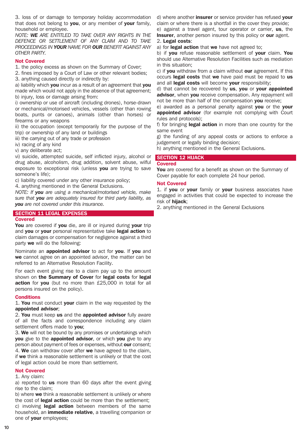3. loss of or damage to temporary holiday accommodation that does not belong to you, or any member of your family, household or employee.

*NOTE: WE ARE ENTITLED TO TAKE OVER ANY RIGHTS IN THE DEFENCE OR SETTLEMENT OF ANY CLAIM AND TO TAKE PROCEEDINGS IN YOUR NAME FOR OUR BENEFIT AGAINST ANY OTHER PARTY.*

# Not Covered

1. the policy excess as shown on the Summary of Cover;

2. fines imposed by a Court of Law or other relevant bodies;

3. anything caused directly or indirectly by:

a) liability which you incur as a result of an agreement that you made which would not apply in the absence of that agreement; b) injury, loss or damage arising from:

i) ownership or use of aircraft (including drones), horse-drawn or mechanical/motorised vehicles, vessels (other than rowing boats, punts or canoes), animals (other than horses) or firearms or any weapons

ii) the occupation (except temporarily for the purpose of the trip) or ownership of any land or buildings

iii) the carrying out of any trade or profession

iv) racing of any kind

v) any deliberate act;

vi) suicide, attempted suicide, self inflicted injury, alcohol or drug abuse, alcoholism, drug addition, solvent abuse, wilful exposure to exceptional risk (unless you are trying to save someone's life);

c) liability covered under any other insurance policy;

4. anything mentioned in the General Exclusions.

*NOTE: If you are using a mechanical/motorised vehicle, make sure that you are adequately insured for third party liability, as you are not covered under this insurance.*

# **SECTION 11 LEGAL EXPENSES**

# Covered

You are covered if you die, are ill or injured during your trip and you or your personal representative take legal action to claim damages or compensation for negligence against a third party we will do the following:

Nominate an **appointed advisor** to act for you. If you and we cannot agree on an appointed advisor, the matter can be referred to an Alternative Resolution Facility.

For each event giving rise to a claim pay up to the amount shown on the Summary of Cover for legal costs for legal action for you (but no more than £25,000 in total for all persons insured on the policy).

# **Conditions**

1. You must conduct your claim in the way requested by the appointed advisor;

2. You must keep us and the appointed advisor fully aware of all the facts and correspondence including any claim settlement offers made to you;

3. We will not be bound by any promises or undertakings which you give to the appointed advisor, or which you give to any person about payment of fees or expenses, without our consent; 4. We can withdraw cover after we have agreed to the claim, if we think a reasonable settlement is unlikely or that the cost of legal action could be more than settlement.

# Not Covered

1. Any claim:

a) reported to us more than 60 days after the event giving rise to the claim;

b) where we think a reasonable settlement is unlikely or where the cost of legal action could be more than the settlement; c) involving **legal action** between members of the same household, an *immediate relative*, a travelling companion or one of **your** employees;

d) where another *insurer* or service provider has refused vour claim or where there is a shortfall in the cover they provide; e) against a travel agent, tour operator or carrier, us, the **Insurer**, another person insured by this policy or our agent.

# 2. Legal costs:

a) for legal action that we have not agreed to;

b) if you refuse reasonable settlement of your claim. You should use Alternative Resolution Facilities such as mediation in this situation;

c) if you withdraw from a claim without our agreement. If this occurs legal costs that we have paid must be repaid to us and all legal costs will become your responsibility;

d) that cannot be recovered by us, you or your appointed advisor, when you receive compensation. Any repayment will not be more than half of the compensation you receive;

e) awarded as a personal penalty against you or the your **appointed advisor** (for example not complying with Court rules and protocols);

f) for bringing **legal action** in more than one country for the same event

g) the funding of any appeal costs or actions to enforce a judgement or legally binding decision;

h) anything mentioned in the General Exclusions.

# SECTION 12 HIJACK

#### Covered

You are covered for a benefit as shown on the Summary of Cover payable for each complete 24 hour period.

# Not Covered

1. if you or your family or your business associates have engaged in activities that could be expected to increase the risk of hijack;

2. anything mentioned in the General Exclusions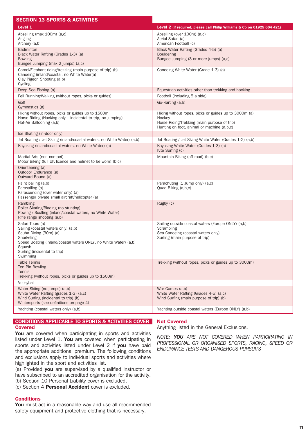| <b>SECTION 13 SPORTS &amp; ACTIVITIES</b>                                                                                                                                                                                 |                                                                                                                                                               |  |
|---------------------------------------------------------------------------------------------------------------------------------------------------------------------------------------------------------------------------|---------------------------------------------------------------------------------------------------------------------------------------------------------------|--|
| Level 1                                                                                                                                                                                                                   | Level 2 (if required, please call Philip Williams & Co on 01925 604 421)                                                                                      |  |
| Abseiling (max 100m) (a,c)<br>Angling<br>Archery (a,b)                                                                                                                                                                    | Abseiling (over 100m) (a,c)<br>Aerial Safari (a)<br>American Football (c)                                                                                     |  |
| <b>Badminton</b><br>Black Water Rafting (Grades 1-3) (a)<br><b>Bowling</b><br>Bungee Jumping (max 2 jumps) (a,c)                                                                                                          | Black Water Rafting (Grades 4-5) (a)<br><b>Bouldering</b><br>Bungee Jumping (3 or more jumps) (a,c)                                                           |  |
| Camel/Elephant riding/trekking (main purpose of trip) (b)<br>Canoeing (inland/coastal, no White Water(a)<br>Clay Pigeon Shooting (a,b)<br>Cycling                                                                         | Canoeing White Water (Grade 1-3) (a)                                                                                                                          |  |
| Deep Sea Fishing (a)                                                                                                                                                                                                      | Equestrian activities other than trekking and hacking                                                                                                         |  |
| Fell Running/Walking (without ropes, picks or guides)                                                                                                                                                                     | Football (including 5 a side)                                                                                                                                 |  |
| Golf<br>Gymnastics (a)                                                                                                                                                                                                    | Go-Karting (a,b)                                                                                                                                              |  |
| Hiking without ropes, picks or guides up to 1500m<br>Horse Riding (Hacking only – incidental to trip, no jumping)<br>Hot-Air Ballooning (a,b)                                                                             | Hiking without ropes, picks or guides up to 3000m (a)<br>Hockey<br>Horse Riding/Trekking (main purpose of trip)<br>Hunting on foot, animal or machine (a,b,c) |  |
| Ice Skating (in-door only)                                                                                                                                                                                                |                                                                                                                                                               |  |
| Jet Boating / Jet Skiing (inland/coastal waters, no White Water) (a,b)                                                                                                                                                    | Jet Boating / Jet Skiing White Water (Grades 1-2) (a,b)                                                                                                       |  |
| Kayaking (inland/coastal waters, no White Water) (a)                                                                                                                                                                      | Kayaking White Water (Grades 1-3) (a)<br>Kite Surfing (c)                                                                                                     |  |
| Martial Arts (non-contact)<br>Motor Biking (full UK licence and helmet to be worn) (b,c)                                                                                                                                  | Mountain Biking (off-road) (b,c)                                                                                                                              |  |
| Orienteering (a)<br>Outdoor Endurance (a)<br>Outward Bound (a)                                                                                                                                                            |                                                                                                                                                               |  |
| Paint balling (a,b)<br>Parasailing (a)<br>Parascending (over water only) (a)<br>Passenger private small aircraft/helicopter (a)                                                                                           | Parachuting (1 Jump only) (a,c)<br>Quad Biking (a,b,c)                                                                                                        |  |
| Rambling<br>Roller Skating/Blading (no stunting)<br>Rowing / Sculling (inland/coastal waters, no White Water)<br>Rifle range shooting (a,b)                                                                               | Rugby (c)                                                                                                                                                     |  |
| Safari Tours (a)<br>Sailing (coastal waters only) (a,b)<br>Scuba Diving (30m) (a)<br>Snorkeling<br>Speed Boating (inland/coastal waters ONLY, no White Water) (a,b)<br>Squash<br>Surfing (incidental to trip)<br>Swimming | Sailing outside coastal waters (Europe ONLY) (a,b)<br>Scrambling<br>Sea Canoeing (coastal waters only)<br>Surfing (main purpose of trip)                      |  |
| <b>Table Tennis</b><br>Ten Pin Bowling<br><b>Tennis</b><br>Trekking (without ropes, picks or guides up to 1500m)                                                                                                          | Trekking (without ropes, picks or guides up to 3000m)                                                                                                         |  |
| Volleyball                                                                                                                                                                                                                |                                                                                                                                                               |  |
| Water Skiing (no jumps) (a,b)<br>White Water Rafting (grades 1-3) (a,c)<br>Wind Surfing (incidental to trip) (b).<br>Wintersports (see definitions on page 4)                                                             | War Games (a,b)<br>White Water Rafting (Grades 4-5) (a,c)<br>Wind Surfing (main purpose of trip) (b)                                                          |  |
| Yachting (coastal waters only) (a,b)                                                                                                                                                                                      | Yachting outside coastal waters (Europe ONLY) (a,b)                                                                                                           |  |

# CONDITIONS APPLICABLE TO SPORTS & ACTIVITIES COVER **Covered**

You are covered when participating in sports and activities listed under Level 1. You are covered when participating in sports and activities listed under Level 2 if you have paid the appropriate additional premium. The following conditions and exclusions apply to individual sports and activities where highlighted in the sport and activities list.

(a) Provided you are supervised by a qualified instructor or have subscribed to an accredited organisation for the activity. (b) Section 10 Personal Liability cover is excluded.

(c) Section 4 Personal Accident cover is excluded.

# **Conditions**

You must act in a reasonable way and use all recommended safety equipment and protective clothing that is necessary.

# Not Covered

Anything listed in the General Exclusions.

*NOTE: YOU ARE NOT COVERED WHEN PARTICIPATING IN PROFESSIONAL OR ORGANISED SPORTS, RACING, SPEED OR ENDURANCE TESTS AND DANGEROUS PURSUITS*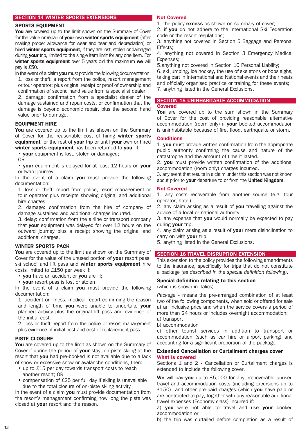# SECTION 14 WINTER SPORTS EXTENSIONS

# SPORTS EQUIPMENT

You are covered up to the limit shown on the Summary of Cover for the value or repair of **your** own **winter sports equipment** (after making proper allowance for wear and tear and depreciation) or hired winter sports equipment, if they are lost, stolen or damaged during **vour** trip, limited to the single item limit for any one item. For winter sports equipment over 5 years old the maximum we will pay is £50.

In the event of a claim you must provide the following documentation: 1. loss or theft: a report from the police, resort management or tour operator; plus original receipt or proof of ownership and confirmation of second hand value from a specialist dealer

2. damage: confirmation from a specialist dealer of the damage sustained and repair costs, or confirmation that the damage is beyond economic repair, plus the second hand value prior to damage.

# EQUIPMENT HIRE

You are covered up to the limit as shown on the Summary of Cover for the reasonable cost of hiring winter sports equipment for the rest of your trip or until your own or hired winter sports equipment has been returned to you, if:

• your equipment is lost, stolen or damaged;

OR

• vour equipment is delayed for at least 12 hours on vour outward journey.

In the event of a claim you must provide the following documentation:

1. loss or theft: report from police, resort management or tour operator plus receipts showing original and additional hire charges.

2. damage: confirmation from the hire of company of damage sustained and additional charges incurred.

3. delay: confirmation from the airline or transport company that **vour** equipment was delayed for over 12 hours on the outward journey plus a receipt showing the original and additional charges.

# WINTER SPORTS PACK

You are covered up to the limit as shown on the Summary of Cover for the value of the unused portion of your resort pass, ski school and lift pass and winter sports equipment hire costs limited to £150 per week if:

• vou have an accident or vou are ill:

• **vour** resort pass is lost or stolen

In the event of a claim you must provide the following documentation:

1. accident or illness: medical report confirming the reason and length of time you were unable to undertake your planned activity plus the original lift pass and evidence of the initial cost.

2. loss or theft: report from the police or resort management plus evidence of initial cost and cost of replacement pass.

#### PISTE CLOSURE

You are covered up to the limit as shown on the Summary of Cover if during the period of your stay, on-piste skiing at the resort that you had pre-booked is not available due to a lack of snow or excessive snow or avalanche conditions, then:

- up to £15 per day towards transport costs to reach another resort; OR
- compensation of £25 per full day if skiing is unavailable due to the total closure of on-piste skiing activity

In the event of a claim you must provide documentation from the resort's management confirming how long the piste was closed at your resort and the reason.

#### Not Covered

1. the policy excess as shown on summary of cover;

2. if you do not adhere to the International Ski Federation code or the resort regulations;

3. anything not covered in Section 5 Baggage and Personal Effects;

4. anything not covered in Section 3 Emergency Medical Expenses;

5.anything not covered in Section 10 Personal Liability;

6. ski jumping, ice hockey, the use of skeletons or bobsleighs, taking part in International and National events and their heats and officially organised practice or training for these events; 7. anything listed in the General Exclusions.

# SECTION 15 UNINHABITABLE ACCOMMODATION Covered

You are covered up to the sum shown in the Summary of Cover for the cost of providing reasonable alternative accommodation (room only) if your booked accommodation is uninhabitable because of fire, flood, earthquake or storm.

#### **Conditions**

1. you must provide written confirmation from the appropriate public authority confirming the cause and nature of the catastrophe and the amount of time it lasted.

2. you must provide written confirmation of the additional accommodation (room only) charges incurred.

3. any event that results in a claim under this section was not known about prior to your departure to or from the United Kingdom.

#### Not Covered

1. any costs recoverable from another source (e.g. tour operator, hotel)

2. any claim arising as a result of you travelling against the advice of a local or national authority.

3. any expense that you would normally be expected to pay during **your** trip.

4. any claim arising as a result of your mere disinclination to carry on with **your** trip.

5. anything listed in the General Exclusions.

#### SECTION 16 TRAVEL DISRUPTION EXTENSION

This extension to the policy provides the following amendments to the insurance, specifically for trips that do not constitute a package *(as described in the special definition following)*.

# Special definition relating to this section

(which is shown in italics)

*Package* - means the pre-arranged combination of at least two of the following components, when sold or offered for sale at an inclusive price and when the service covers a period of more than 24 hours or includes overnight accommodation:

- a) transport
- b) accommodation

c) other tourist services in addition to transport or accommodation (such as car hire or airport parking) and accounting for a significant proportion of the package

# Extended Cancellation or Curtailment charges cover What is covered

Sections 1 and 2 - Cancellation or Curtailment charges is extended to include the following cover.

We will pay you up to £5,000 for any irrecoverable unused travel and accommodation costs (including excursions up to £150) and other pre-paid charges (which you have paid or are contracted to pay, together with any reasonable additional travel expenses (Economy class) incurred if:

a) you were not able to travel and use your booked accommodation or

b) the trip was curtailed before completion as a result of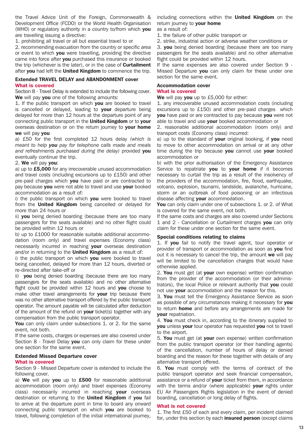the Travel Advice Unit of the Foreign, Commonwealth & Development Office (FCDO) or the World Health Organisation (WHO) or regulatory authority in a country to/from which you are travelling issuing a directive:

1. prohibiting all travel or all but essential travel to or

2. recommending evacuation from the country or specific area or event to which you were travelling, providing the directive came into force after you purchased this insurance or booked the trip (whichever is the later), or in the case of **Curtailment** after you had left the United Kingdom to commence the trip.

# Extended TRAVEL DELAY and ABANDONMENT cover What is covered

Section 8 - Travel Delay is extended to include the following cover. We will pay vou one of the following amounts:

1. If the public transport on which you are booked to travel is cancelled or delayed, leading to your departure being delayed for more than 12 hours at the departure point of any connecting public transport in the United Kingdom or to your overseas destination or on the return journey to your home we will pay you

a) £50 for the first completed 12 hours delay *(which is meant to help you pay for telephone calls made and meals and refreshments purchased during the delay)* provided you eventually continue the trip.

# 2. We will pay you:

a) up to £5,000 for any irrecoverable unused accommodation and travel costs (including excursions up to £150) and other pre-paid charges which you have paid or are contracted to pay because you were not able to travel and use your booked accommodation as a result of:

i) the public transport on which you were booked to travel from the **United Kingdom** being cancelled or delayed for more than 24 hours or

ii) **you** being denied boarding (because there are too many passengers for the seats available) and no other flight could be provided within 12 hours or

b) up to £1000 for reasonable suitable additional accommodation (room only) and travel expenses (Economy class) necessarily incurred in reaching your overseas destination and/or in returning to the United Kingdom as a result of:

i) the public transport on which you were booked to travel being cancelled, delayed for more than 12 hours, diverted or re-directed after take-off or

ii) vou being denied boarding (because there are too many passengers for the seats available) and no other alternative flight could be provided within 12 hours and **you** choose to make other travel arrangements for your trip because there was no other alternative transport offered by the public transport operator. The amount payable will be calculated after deduction of the amount of the refund on your ticket(s) together with any compensation from the public transport operator.

You can only claim under subsections 1. or 2. for the same event, not both.

If the same costs, charges or expenses are also covered under Section 8 - Travel Delay you can only claim for these under one section for the same event.

# Extended Missed Departure cover

# What is covered

Section 9 - Missed Departure cover is extended to include the following cover.

a) We will pay you up to £500 for reasonable additional accommodation (room only) and travel expenses (Economy class) necessarily incurred in reaching your overseas destination or returning to the United Kingdom if you fail to arrive at the departure point in time to board any onward connecting public transport on which you are booked to travel, following completion of the initial international journey,

including connections within the **United Kingdom** on the return journey to your home

- as a result of:
- 1. the failure of other public transport or
- 2. strike, industrial action or adverse weather conditions or

3. you being denied boarding (because there are too many passengers for the seats available) and no other alternative flight could be provided within 12 hours.

If the same expenses are also covered under Section 9 - Missed Departure you can only claim for these under one section for the same event.

# Accommodation cover

# What is covered

We will pay you up to £5,000 for either:

1. any irrecoverable unused accommodation costs (including excursions up to £150) and other pre-paid charges which you have paid or are contracted to pay because you were not able to travel and use your booked accommodation or

2. reasonable additional accommodation (room only) and transport costs (Economy class) incurred:

a) up to the standard of **your** original booking, if **you** need to move to other accommodation on arrival or at any other time during the trip because you cannot use your booked accommodation or

b) with the prior authorisation of the Emergency Assistance Service to repatriate you to your home if it becomes necessary to curtail the trip as a result of the insolvency of the providers of the accommodation, fire, flood, earthquake, volcano, explosion, tsunami, landslide, avalanche, hurricane, storm or an outbreak of food poisoning or an infectious disease affecting your accommodation.

You can only claim under one of subsections 1. or 2. of What is covered for the same event, not both.

If the same costs and charges are also covered under Sections 1 and 2 - Cancellation or Curtailment charges you can only claim for these under one section for the same event.

# Special conditions relating to claims

1. If you fail to notify the travel agent, tour operator or provider of transport or accommodation as soon as you find out it is necessary to cancel the trip, the amount we will pay will be limited to the cancellation charges that would have otherwise applied.

2. You must get (at your own expense) written confirmation from the provider of the accommodation (or their administrators), the local Police or relevant authority that you could not use **your** accommodation and the reason for this.

3. You must tell the Emergency Assistance Service as soon as possible of any circumstances making it necessary for you to return **home** and before any arrangements are made for your repatriation.

4. You must check in, according to the itinerary supplied to **you** unless your tour operator has requested you not to travel to the airport.

5. You must get (at your own expense) written confirmation from the public transport operator (or their handling agents) of the cancellation, number of hours of delay or denied boarding and the reason for these together with details of any alternative transport offered.

6. You must comply with the terms of contract of the public transport operator and seek financial compensation, assistance or a refund of your ticket from them, in accordance with the terms and/or (where applicable) your rights under EU Air Passengers Rights legislation in the event of denied boarding, cancellation or long delay of flights.

# What is not covered

1. The first £50 of each and every claim, per incident claimed for, under this section by each *insured person* (except claims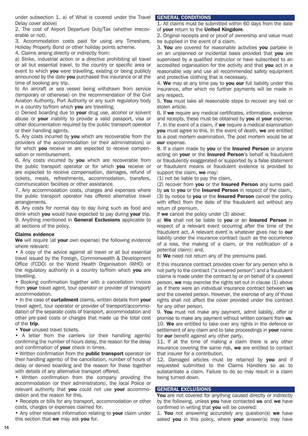under subsection 1. a) of What is covered under the Travel Delay cover above)

2. The cost of Airport Departure Duty/Tax (whether irrecoverable or not).

3. Accommodation costs paid for using any Timeshare, Holiday Property Bond or other holiday points scheme.

4. Claims arising directly or indirectly from:

a) Strike, industrial action or a directive prohibiting all travel or all but essential travel, to the country or specific area or event to which you were travelling, existing or being publicly announced by the date you purchased this insurance or at the time of booking any trip.

b) An aircraft or sea vessel being withdrawn from service (temporary or otherwise) on the recommendation of the Civil Aviation Authority, Port Authority or any such regulatory body in a country to/from which you are travelling.

c) Denied boarding due to your drug use, alcohol or solvent abuse or your inability to provide a valid passport, visa or other documentation required by the public transport operator or their handling agents.

5. Any costs incurred by **you** which are recoverable from the providers of the accommodation (or their administrators) or for which you receive or are expected to receive compensation or reimbursement.

6. Any costs incurred by you which are recoverable from the public transport operator or for which you receive or are expected to receive compensation, damages, refund of tickets, meals, refreshments, accommodation, transfers, communication facilities or other assistance.

7. Any accommodation costs, charges and expenses where the public transport operator has offered alternative travel arrangements.

8. Any costs for normal day to day living such as food and drink which you would have expected to pay during your trip. 9. Anything mentioned in **General Exclusions** applicable to all sections of the policy.

# Claims evidence

We will require (at your own expense) the following evidence where relevant:

• A copy of the advice against all travel or all but essential travel issued by the Foreign, Commonwealth & Development Office (FCDO) or the World Health Organisation (WHO) or the regulatory authority in a country to/from which you are travelling.

• Booking confirmation together with a cancellation invoice from **your** travel agent, tour operator or provider of transport/ accommodation.

• In the case of curtailment claims, written details from your travel agent, tour operator or provider of transport/accommodation of the separate costs of transport, accommodation and other pre-paid costs or charges that made up the total cost of the trip.

• Your unused travel tickets.

• A letter from the carriers (or their handling agents) confirming the number of hours delay, the reason for the delay and confirmation of your check in times.

• Written confirmation from the public transport operator (or their handling agents) of the cancellation, number of hours of delay or denied boarding and the reason for these together with details of any alternative transport offered.

• Written confirmation from the company providing the accommodation (or their administrators), the local Police or relevant authority that **you** could not use **your** accommodation and the reason for this.

• Receipts or bills for any transport, accommodation or other costs, charges or expenses claimed for.

• Any other relevant information relating to your claim under this section that we may ask you for.

# GENERAL CONDITIONS

1. All claims must be submitted within 60 days from the date of your return to the United Kingdom.

2. Original receipts and or proof of ownership and value must be supplied in the event of a claim.

3. You are covered for reasonable activities you partake in on an unplanned or incidental basis provided that you are supervised by a qualified instructor or have subscribed to an accredited organisation for the activity and that you act in a reasonable way and use all recommended safety equipment and protective clothing that is necessary.

4. We may at any time pay to you our full liability under this insurance, after which no further payments will be made in any respect.

5. You must take all reasonable steps to recover any lost or stolen article.

6. If we require any medical certificates, information, evidence and receipts, these must be obtained by you at your expense. 7. In the event of a claim, if we require a medical examination you must agree to this. In the event of death, we are entitled to a post mortem examination. The post mortem would be at our expense.

8. If a claim made by you or the Insured Person or anyone acting on your or the Insured Person's behalf is fraudulent or fraudulently exaggerated or supported by a false statement or fraudulent means or fraudulent evidence is provided to support the claim, we may:

(1) not be liable to pay the claim,

(2) recover from you or the Insured Person any sums paid by us to you or the Insured Person in respect of the claim. (3) by notice to **you** or the **Insured Person** cancel the policy with effect from the date of the fraudulent act without any return of premium.

If we cancel the policy under (3) above:

a) We shall not be liable to you or an Insured Person in respect of a relevant event occurring after the time of the fraudulent act. A relevant event is whatever gives rise to our liability under the insurance contract (such as the occurrence of a loss, the making of a claim, or the notification of a potential claim); and,

b) We need not return any of the premiums paid.

If this insurance contract provides cover for any person who is not party to the contract ("a covered person") and a fraudulent claims is made under the contract by or on behalf of a covered person, we may exercise the rights set out in clause (1) above as if there were an individual insurance contract between us and the covered person. However, the exercise of any of those rights shall not affect the cover provided under the contract for any other person.

9. You must not make any payment, admit liability, offer or promise to make any payment without written consent from **us**. 10. We are entitled to take over any rights in the defence or settlement of any claim and to take proceedings in your name for our benefit against any other party.

11. If at the time of making a claim there is any other insurance covering the same risk, we are entitled to contact that insurer for a contribution.

12. Damaged articles must be retained by you and if requested submitted to the Claims Handlers so as to substantiate a claim. Failure to do so may result in a claim being turned down.

# GENERAL EXCLUSIONS

You are not covered for anything caused directly or indirectly by the following, unless you have contacted us and we have confirmed in writing that you will be covered:

1. You not answering accurately any question(s) we have asked you in this policy, where your answer(s) may have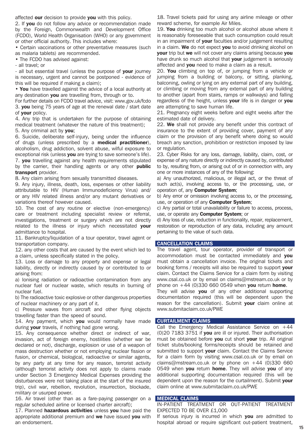affected our decision to provide you with this policy.

2. If you do not follow any advice or recommendation made by the Foreign, Commonwealth and Development Office (FCDO), World Health Organisation (WHO) or any government or other official authority. This includes where:

• Certain vaccinations or other preventative measures (such as malaria tablets) are recommended.

• The FCDO has advised against:

- all travel; or

- all but essential travel (unless the purpose of your journey is necessary, urgent and cannot be postponed - evidence of this will be required if making a claim);

• You have travelled against the advice of a local authority at any destination you are travelling from, through or to.

For further details on FCDO travel advice, visit: www.gov.uk/fcdo 3. you being 75 years of age at the renewal date / start date of **your** policy.

4. Any trip that is undertaken for the purpose of obtaining medical treatment (whatever the nature of this treatment);

5. Any criminal act by **you**;

6. Suicide, deliberate self-injury, being under the influence of drugs (unless prescribed by a medical practitioner), alcoholism, drug addiction, solvent abuse, wilful exposure to exceptional risk (unless you are trying to save someone's life). 7. you travelling against any health requirements stipulated

by the carrier, their handling agents or any other public transport provider.

8. Any claim arising from sexually transmitted diseases.

9. Any injury, illness, death, loss, expenses or other liability attributable to HIV (Human Immunodeficiency Virus) and/ or any HIV related illness and/or any mutant derivatives or variations thereof however caused.

10. The cost of any routine or elective (non-emergency) care or treatment including specialist review or referral, investigations, treatment or surgery which are not directly related to the illness or injury which necessitated your admittance to hospital.

11. Bankruptcy/liquidation of a tour operator, travel agent or transportation company.

12. any other costs that are caused by the event which led to a claim, unless specifically stated in the policy.

13. Loss or damage to any property and expense or legal liability, directly or indirectly caused by or contributed to or arising from:

a) Ionising radiation or radioactive contamination from any nuclear fuel or nuclear waste, which results in burning of nuclear fuel.

b) The radioactive toxic explosive or other dangerous properties of nuclear machinery or any part of it.

c) Pressure waves from aircraft and other flying objects travelling faster than the speed of sound.

14. Any payment, which you would normally have made during your travels, if nothing had gone wrong.

15. Any consequence whether direct or indirect of war, invasion, act of foreign enemy, hostilities (whether war be declared or not), discharge, explosion or use of a weapon of mass destruction whether or not employing nuclear fission or fusion, or chemical, biological, radioactive or similar agents, by any party at any time for any reason, terrorist activity (although terrorist activity does not apply to claims made under Section 3 Emergency Medical Expenses providing the disturbances were not taking place at the start of the insured trip), civil war, rebellion, revolution, insurrection, blockade, military or usurped power.

16. Air travel (other than as a fare-paying passenger on a regular scheduled airline or licensed charter aircraft);

17. Planned hazardous activities unless you have paid the appropriate additional premium and we have issued you with an endorsement.

18. Travel tickets paid for using any airline mileage or other reward scheme, for example Air Miles.

19. You drinking too much alcohol or alcohol abuse where it is reasonably foreseeable that such consumption could result in an impairment of your faculties and/or judgement resulting in a claim. We do not expect you to avoid drinking alcohol on your trip but we will not cover any claims arising because you have drunk so much alcohol that your judgement is seriously affected and you need to make a claim as a result.

20. You climbing on top of, or jumping from a vehicle or jumping from a building or balcony, or sitting, planking, balconing, owling or lying on any external part of any building, or climbing or moving from any external part of any building to another (apart from stairs, ramps or walkways) and falling regardless of the height, unless your life is in danger or you are attempting to save human life.

21. Pregnancy eight weeks before and eight weeks after the estimated date of delivery.

22. We shall not provide any benefit under this contract of insurance to the extent of providing cover, payment of any claim or the provision of any benefit where doing so would breach any sanction, prohibition or restriction imposed by law or regulation.

23. Cyber Risks for any loss, damage, liability, claim, cost, or expense of any nature directly or indirectly caused by, contributed to by, resulting from, or arising out of or in connection with, any one or more instances of any of the following:

a) Any unauthorized, malicious, or illegal act, or the threat of such act(s), involving access to, or the processing, use, or operation of, any Computer System;

b) Any error or omission involving access to, or the processing, use, or operation of any **Computer System:** 

c) Any partial or total unavailability or failure to access, process, use, or operate any **Computer System**; or

d) Any loss of use, reduction in functionality, repair, replacement, restoration or reproduction of any data, including any amount pertaining to the value of such data.

# CANCELLATION CLAIMS

The travel agent, tour operator, provider of transport or accommodation must be contacted immediately and vou must obtain a cancellation invoice. The original tickets and booking forms / receipts will also be required to support your claim. Contact the Claims Service for a claim form by visiting www.csal.co.uk or by email on claims@mstream.co.uk or by phone on  $+44$  (0)330 660 0549 when you return home.

They will advise you of any other additional supporting documentation required (this will be dependent upon the reason for the cancellation). Submit your claim online at www.submitaclaim.co.uk/PWE

# CURTAILMENT CLAIMS

Call the Emergency Medical Assistance Service on  $+44$ (0)20 7183 3751 if you are ill or injured. Their authorisation must be obtained before you cut short your trip. All original ticket stubs/booking forms/receipts should be retained and submitted to support your claim. Contact the Claims Service for a claim form by visiting www.csal.co.uk or by email on claims@mstream.co.uk or by phone on  $+44$  (0)330 660 0549 when you return home. They will advise you of any additional supporting documentation required (this will be dependent upon the reason for the curtailment). Submit your claim online at www.submitaclaim.co.uk/PWE

# MEDICAL CLAIMS

IN-PATIENT TREATMENT OR OUT-PATIENT TREATMENT EXPECTED TO BE OVER £1,000

If serious injury is incurred in which you are admitted to hospital abroad or require significant out-patient treatment,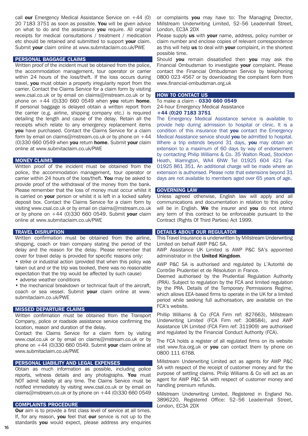call our Emergency Medical Assistance Service on  $+44$  (0) 20 7183 3751 as soon as possible. You will be given advice on what to do and the assistance you require. All original receipts for medical consultations / treatment / medication etc should be retained and submitted to support your claim. Submit your claim online at www.submitaclaim.co.uk/PWE

# PERSONAL BAGGAGE CLAIMS

Written proof of the incident must be obtained from the police, the accommodation management, tour operator or carrier within 24 hours of the loss/theft. If the loss occurs during travel, you must obtain a property irregularity report from the carrier. Contact the Claims Service for a claim form by visiting www.csal.co.uk or by email on claims@mstream.co.uk or by phone on  $+44$  (0)330 660 0549 when you return home. If personal baggage is delayed obtain a written report from the carrier (e.g. airline, shipping company etc.) is required detailing the length and cause of the delay. Retain all the receipts which relate to any emergency replacement items you have purchased. Contact the Claims Service for a claim form by email on claims@mstream.co.uk or by phone on  $+44$ (0)330 660 0549 when you return home. Submit your claim online at www.submitaclaim.co.uk/PWE

# MONEY CLAIMS

Written proof of the incident must be obtained from the police, the accommodation management, tour operator or carrier within 24 hours of the loss/theft. You may be asked to provide proof of the withdrawal of the money from the bank. Please remember that the loss of money must occur whilst it is carried on **vour** person or whilst it is left in a locked safety deposit box. Contact the Claims Service for a claim form by visiting www.csal.co.uk or by email on claims@mstream.co.uk or by phone on  $+44$  (0)330 660 0549. Submit your claim online at www.submitaclaim.co.uk/PWE

# TRAVEL DISRUPTION

Written confirmation must be obtained from the airline, shipping, coach or train company stating the period of the delay and the reason for the delay. Please remember that cover for travel delay is provided for specific reasons only:

• strike or industrial action (provided that when this policy was taken out and or the trip was booked, there was no reasonable expectation that the trip would be affected by such cause)

• adverse weather conditions

• the mechanical breakdown or technical fault of the aircraft, coach or sea vessel. Submit your claim online at www. submitaclaim.co.uk/PWE

# MISSED DEPARTURE CLAIMS

Written confirmation must be obtained from the Transport Company, police or roadside assistance service confirming the location, reason and duration of the delay.

Contact the Claims Service for a claim form by visiting www.csal.co.uk or by email on claims@mstream.co.uk or by phone on  $+44$  (0)330 660 0549. Submit your claim online at www.submitaclaim.co.uk/PWE

# PERSONAL LIABILITY AND LEGAL EXPENSES

Obtain as much information as possible, including police reports, witness details and any photographs. You must NOT admit liability at any time. The Claims Service must be notified immediately by visiting www.csal.co.uk or by email on claims@mstream.co.uk or by phone on  $+44$  (0)330 660 0549

# COMPLAINTS PROCEDURE

**Our** aim is to provide a first class level of service at all times. If, for any reason, you feel that our service is not up to the standards you would expect, please address any enquiries

or complaints you may have to: The Managing Director, Millstream Underwriting Limited, 52–56 Leadenhall Street, London, EC3A 2DX

Please supply us with your name, address, policy number or claim number and enclose copies of relevant correspondence as this will help us to deal with your complaint, in the shortest possible time.

Should you remain dissatisfied then you may ask the Financial Ombudsman to investigate your complaint. Please contact the Financial Ombudsman Service by telephoning 0800 023 4567 or by downloading the complaint form from www.financial-ombudsman.org.uk

# **HOW TO CONTACT US**

To make a claim - 0330 660 0549 24-hour Emergency Medical Assistance +44 (0)20 7183 3751

The Emergency Medical Assistance service is available to provide help during admission to hospital or clinic. It is a condition of this insurance that you contact the Emergency Medical Assistance service should you be admitted to hospital. Where a trip extends beyond 31 days, you may obtain an extension to a maximum of 60 days by way of endorsement by contacting Philip Williams & Co. 35 Walton Road, Stockton Heath, Warrington, WA4 6NW Tel 01925 604 421 Fax 01925 861 351. An additional charge will be made where an extension is authorised. Please note that extensions beyond 31 days are not available to members aged over 65 years of age.

# GOVERNING LAW

Unless agreed otherwise, English law will apply and all communications and documentation in relation to this policy will be in English. We the insurer and you do not intend any term of this contract to be enforceable pursuant to the Contract (Rights Of Third Parties) Act 1999.

# DETAILS ABOUT OUR REGULATOR

This Travel Insurance is underwritten by Millstream Underwriting Limited on behalf AWP P&C SA.

AWP Assistance UK Limited is AWP P&C SA's appointed administrator in the **United Kingdom.** 

AWP P&C SA is authorised and regulated by L'Autorité de Contrôle Prudentiel et de Résolution in France.

Deemed authorised by the Prudential Regulation Authority (PRA). Subject to regulation by the FCA and limited regulation by the PRA. Details of the Temporary Permissions Regime, which allows EEA-based firms to operate in the UK for a limited period while seeking full authorisation, are available on the FCA's website.

Phillip Williams & Co (FCA Firm ref: 827663), Millstream Underwriting Limited (FCA Firm ref: 308584), and AWP Assistance UK Limited (FCA Firm ref: 311909) are authorised and regulated by the Financial Conduct Authority (FCA).

The FCA holds a register of all regulated firms on its website visit www.fca.org.uk or you can contact them by phone on 0800 111 6768.

Millstream Underwriting Limited act as agents for AWP P&C SA with respect of the receipt of customer money and for the purpose of settling claims. Philip Williams & Co will act as an agent for AWP P&C SA with respect of customer money and handling premium refunds.

Millstream Underwriting Limited, Registered in England No. 3896220, Registered Office: 52–56 Leadenhall Street, London, EC3A 2DX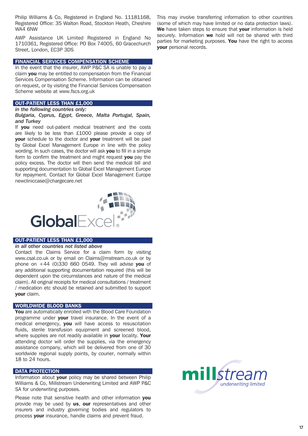Philip Williams & Co, Registered in England No. 11181168, Registered Office: 35 Walton Road, Stockton Heath, Cheshire WA4 6NW

AWP Assistance UK Limited Registered in England No 1710361, Registered Office: PO Box 74005, 60 Gracechurch Street, London, EC3P 3DS

# FINANCIAL SERVICES COMPENSATION SCHEME

In the event that the insurer, AWP P&C SA is unable to pay a claim you may be entitled to compensation from the Financial Services Compensation Scheme. Information can be obtained on request, or by visiting the Financial Services Compensation Scheme website at www.fscs.org.uk

# OUT-PATIENT LESS THAN £1,000

# *in the following countries only:*

*Bulgaria, Cyprus, Egypt, Greece, Malta Portugal, Spain, and Turkey*

If you need out-patient medical treatment and the costs are likely to be less than £1000 please provide a copy of your schedule to the doctor and your treatment will be paid by Global Excel Management Europe in line with the policy wording. In such cases, the doctor will ask you to fill in a simple form to confirm the treatment and might request **vou** pay the policy excess. The doctor will then send the medical bill and supporting documentation to Global Excel Management Europe for repayment. Contact for Global Excel Management Europe newcliniccase@chargecare.net



# OUT-PATIENT LESS THAN £1,000

#### *in all other countries not listed above*

Contact the Claims Service for a claim form by visiting www.csal.co.uk or by email on Claims@mstream.co.uk or by phone on  $+44$  (0)330 660 0549. They will advise you of any additional supporting documentation required (this will be dependent upon the circumstances and nature of the medical claim). All original receipts for medical consultations / treatment / medication etc should be retained and submitted to support your claim.

# WORLDWIDE BLOOD BANKS

You are automatically enrolled with the Blood Care Foundation programme under your travel insurance. In the event of a medical emergency, you will have access to resuscitation fluids, sterile transfusion equipment and screened blood, where supplies are not readily available in your locality. Your attending doctor will order the supplies, via the emergency assistance company, which will be delivered from one of 30 worldwide regional supply points, by courier, normally within 18 to 24 hours.

# DATA PROTECTION

Information about your policy may be shared between Philip Williams & Co, Millstream Underwriting Limited and AWP P&C SA for underwriting purposes.

Please note that sensitive health and other information you provide may be used by us, our representatives and other insurers and industry governing bodies and regulators to process your insurance, handle claims and prevent fraud.

This may involve transferring information to other countries (some of which may have limited or no data protection laws). We have taken steps to ensure that your information is held securely. Information we hold will not be shared with third parties for marketing purposes. You have the right to access your personal records.

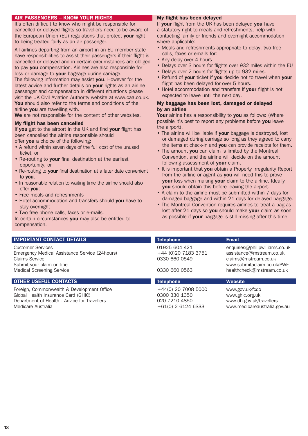# AIR PASSENGERS – KNOW YOUR RIGHTS

It's often difficult to know who might be responsible for cancelled or delayed flights so travellers need to be aware of the European Union (EU) regulations that protect your right to being treated fairly as an air passenger.

All airlines departing from an airport in an EU member state have responsibilities to assist their passengers if their flight is cancelled or delayed and in certain circumstances are obliged to pay you compensation. Airlines are also responsible for loss or damage to your baggage during carriage.

The following information may assist you. However for the latest advice and further details on **your** rights as an airline passenger and compensation in different situations please visit the UK Civil Aviation Authority website at www.caa.co.uk. You should also refer to the terms and conditions of the airline you are travelling with.

We are not responsible for the content of other websites.

# My flight has been cancelled

If you get to the airport in the UK and find your flight has been cancelled the airline responsible should offer you a choice of the following:

- A refund within seven days of the full cost of the unused ticket, or
- Re-routing to your final destination at the earliest opportunity, or
- Re-routing to your final destination at a later date convenient to you.
- In reasonable relation to waiting time the airline should also offer you:
- Free meals and refreshments
- Hotel accommodation and transfers should you have to stay overnight
- Two free phone calls, faxes or e-mails.

In certain circumstances you may also be entitled to compensation.

# **IMPORTANT CONTACT DETAILS**

# **OTHER USEFUL CONTACTS** THE RESERVE TELEPHONE THE RESERVE THE VED STATES OF THE RESERVE THE RESERVE THE RESERVE T

Foreign, Commonwealth & Development Office  $+44(0)$  20 7008 5000 www.gov.uk/fcdo Global Health Insurance Card (GHIC)  $0300\,330\,1350$  www.ghic.org.uk Department of Health - Advice for Travellers 020 7210 4850 www.dh.gov.uk/travellers Medicare Australia +61(0) 2 6124 6333 www.medicareaustralia.gov.au +61(0) 2 6124 6333

# My flight has been delayed

If your flight from the UK has been delayed you have a statutory right to meals and refreshments, help with contacting family or friends and overnight accommodation where applicable:

- Meals and refreshments appropriate to delay, two free calls, faxes or emails for:
- Any delay over 4 hours
- Delays over 3 hours for flights over 932 miles within the EU
- Delays over 2 hours for flights up to 932 miles.
- Refund of your ticket if you decide not to travel when your flight has been delayed for over 5 hours.
- Hotel accommodation and transfers if your flight is not expected to leave until the next day.

# My baggage has been lost, damaged or delayed by an airline

Your airline has a responsibility to you as follows: (Where possible it's best to report any problems before you leave the airport).

- The airline will be liable if your baggage is destroyed, lost or damaged during carriage so long as they agreed to carry the items at check-in and **you** can provide receipts for them.
- The amount **you** can claim is limited by the Montreal Convention, and the airline will decide on the amount following assessment of your claim.
- It is important that you obtain a Property Irregularity Report from the airline or agent as you will need this to prove your loss when making your claim to the airline. Ideally you should obtain this before leaving the airport.
- A claim to the airline must be submitted within 7 days for damaged baggage and within 21 days for delayed baggage.
- The Montreal Convention requires airlines to treat a bag as lost after 21 days so you should make your claim as soon as possible if your baggage is still missing after this time.

| <b>IMPORTANT CONTACT DETAILS</b><br><b>Telephone</b><br><b>Email</b><br>01925 604 421<br>Customer Services                                       |                                                |                      |                                                                                                                       |
|--------------------------------------------------------------------------------------------------------------------------------------------------|------------------------------------------------|----------------------|-----------------------------------------------------------------------------------------------------------------------|
|                                                                                                                                                  |                                                |                      |                                                                                                                       |
| claims@mstream.co.uk<br><b>Claims Service</b><br>0330 660 0549<br>Submit your claim on-line<br><b>Medical Screening Service</b><br>0330 660 0563 | Emergency Medical Assistance Service (24hours) | +44 (0) 20 7183 3751 | enquiries@philipwilliams.co.uk<br>assistance@mstream.co.uk<br>www.submitaclaim.co.uk/PWE<br>healthcheck@mstream.co.uk |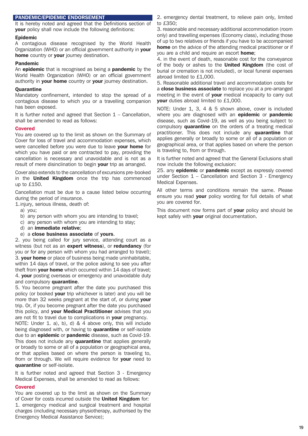# PANDEMIC/EPIDEMIC ENDORSEMENT

It is hereby noted and agreed that the Definitions section of your policy shall now include the following definitions:

# Epidemic

A contagious disease recognised by the World Health Organization (WHO) or an official government authority in your home country or **your** journey destination.

# Pandemic

An **epidemic** that is recognised as being a **pandemic** by the World Health Organization (WHO) or an official government authority in your home country or your journey destination.

# **Quarantine**

Mandatory confinement, intended to stop the spread of a contagious disease to which you or a travelling companion has been exposed.

It is further noted and agreed that Section  $1 -$  Cancellation, shall be amended to read as follows:

# Covered

You are covered up to the limit as shown on the Summary of Cover for loss of travel and accommodation expenses, which were cancelled before you were due to leave your home for which you have paid or are contracted to pay, providing the cancellation is necessary and unavoidable and is not as a result of mere disinclination to begin your trip as arranged.

Cover also extends to the cancellation of excursions pre-booked in the **United Kingdom** once the trip has commenced up to £150.

Cancellation must be due to a cause listed below occurring during the period of insurance.

1.injury, serious illness, death of:

- a) you;
- b) any person with whom you are intending to travel;
- c) any person with whom you are intending to stay;
- d) an immediate relative;
- e) a close business associate of yours.

2. you being called for jury service, attending court as a witness (but not as an expert witness), or redundancy (for you or for any person with whom you had arranged to travel); 3. your home or place of business being made uninhabitable, within 14 days of travel, or the police asking to see you after theft from your home which occurred within 14 days of travel; 4. your posting overseas or emergency and unavoidable duty and compulsory quarantine.

5. You become pregnant after the date you purchased this policy (or booked **your** trip whichever is later) and you will be more than 32 weeks pregnant at the start of, or during your trip. Or, if you become pregnant after the date you purchased this policy, and your Medical Practitioner advises that you are not fit to travel due to complications in your pregnancy.

NOTE: Under 1. a), b), d) & 4 above only, this will include being diagnosed with, or having to **quarantine** or self-isolate due to an **epidemic** or **pandemic** disease, such as Covid-19. This does not include any **quarantine** that applies generally or broadly to some or all of a population or geographical area, or that applies based on where the person is traveling to, from or through. We will require evidence for your need to quarantine or self-isolate.

It is further noted and agreed that Section 3 - Emergency Medical Expenses, shall be amended to read as follows:

# Covered

You are covered up to the limit as shown on the Summary of Cover for costs incurred outside the United Kingdom for: 1. emergency medical and surgical treatment and hospital charges (including necessary physiotherapy, authorised by the Emergency Medical Assistance Service);

2. emergency dental treatment, to relieve pain only, limited to £350;

3. reasonable and necessary additional accommodation (room only) and travelling expenses (Economy class), including those of up to two relatives or friends if you have to be accompanied home on the advice of the attending medical practitioner or if you are a child and require an escort home;

4. in the event of death, reasonable cost for the conveyance of the body or ashes to the United Kingdom (the cost of burial or cremation is not included), or local funeral expenses abroad limited to £1,000.

5. Reasonable additional travel and accommodation costs for a **close business associate** to replace you at a pre-arranged meeting in the event of your medical incapacity to carry out your duties abroad limited to £1,000.

NOTE: Under 1, 3, 4 & 5 shown above, cover is included where you are diagnosed with an **epidemic** or **pandemic** disease, such as Covid-19, as well as you being subject to compulsory **quarantine** on the orders of a treating medical practitioner. This does not include any quarantine that applies generally or broadly to some or all of a population or geographical area, or that applies based on where the person is traveling to, from or through.

It is further noted and agreed that the General Exclusions shall now include the following exclusion:

25. any **epidemic** or **pandemic** except as expressly covered under Section  $1$  – Cancellation and Section 3 - Emergency Medical Expenses.

All other terms and conditions remain the same. Please ensure you read your policy wording for full details of what you are covered for.

This document now forms part of your policy and should be kept safely with your original documentation.